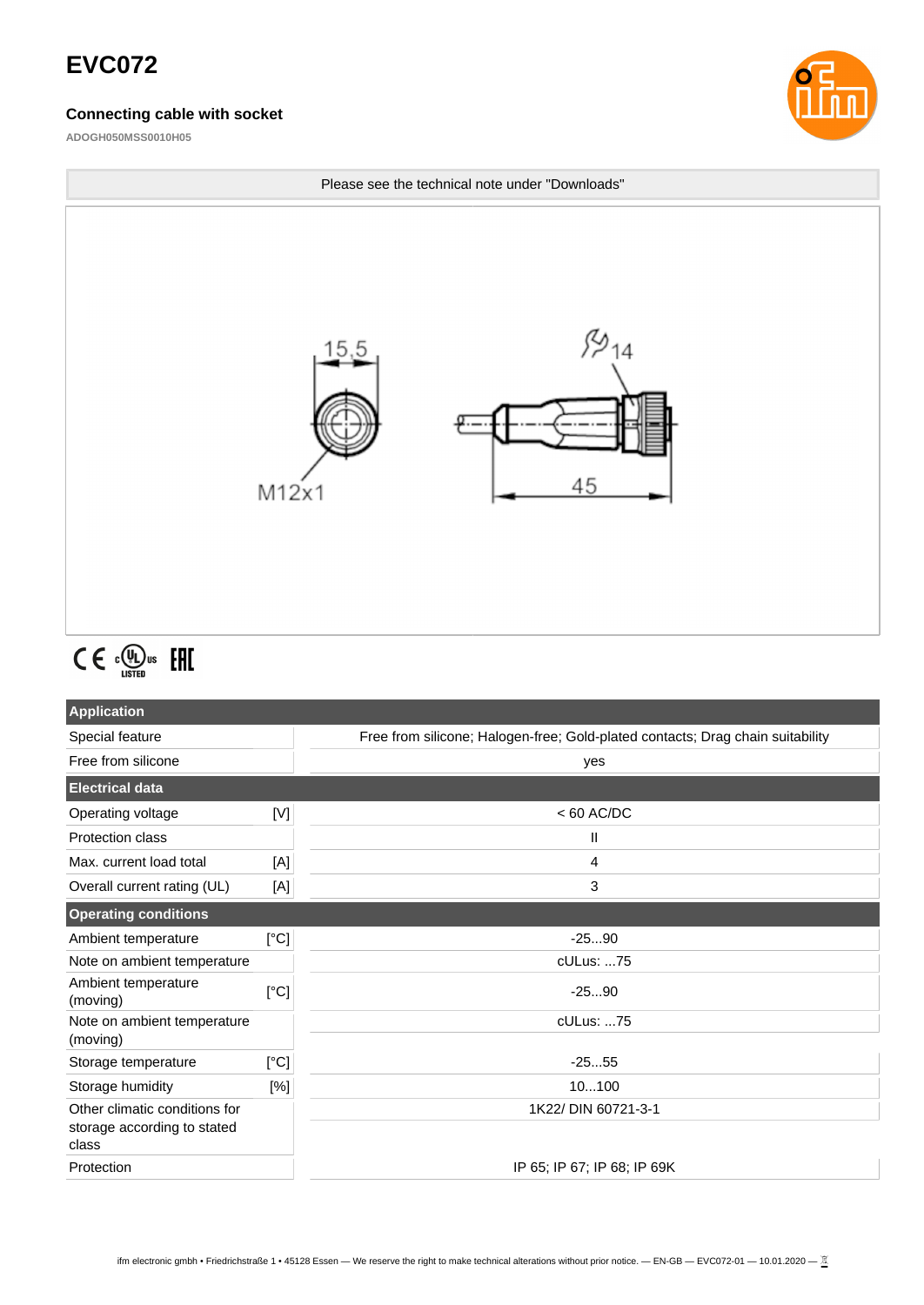# **EVC072**

### **Connecting cable with socket**

**ADOGH050MSS0010H05**





# $C \in \mathbb{C}^{\text{op}}_{\text{LISTED}}$  EHI

| <b>Application</b>                                                    |                 |                                                                                |
|-----------------------------------------------------------------------|-----------------|--------------------------------------------------------------------------------|
| Special feature                                                       |                 | Free from silicone; Halogen-free; Gold-plated contacts; Drag chain suitability |
| Free from silicone                                                    |                 | yes                                                                            |
| <b>Electrical data</b>                                                |                 |                                                                                |
| Operating voltage                                                     | [V]             | $< 60$ AC/DC                                                                   |
| <b>Protection class</b>                                               |                 | Ш                                                                              |
| Max. current load total                                               | $[{\mathsf A}]$ | 4                                                                              |
| Overall current rating (UL)                                           | [A]             | 3                                                                              |
| <b>Operating conditions</b>                                           |                 |                                                                                |
| Ambient temperature                                                   | [°C]            | $-2590$                                                                        |
| Note on ambient temperature                                           |                 | cULus: 75                                                                      |
| Ambient temperature<br>(moving)                                       | [°C]            | $-2590$                                                                        |
| Note on ambient temperature<br>(moving)                               |                 | cULus: 75                                                                      |
| Storage temperature                                                   | [°C]            | $-2555$                                                                        |
| Storage humidity                                                      | [%]             | 10100                                                                          |
| Other climatic conditions for<br>storage according to stated<br>class |                 | 1K22/ DIN 60721-3-1                                                            |
| Protection                                                            |                 | IP 65; IP 67; IP 68; IP 69K                                                    |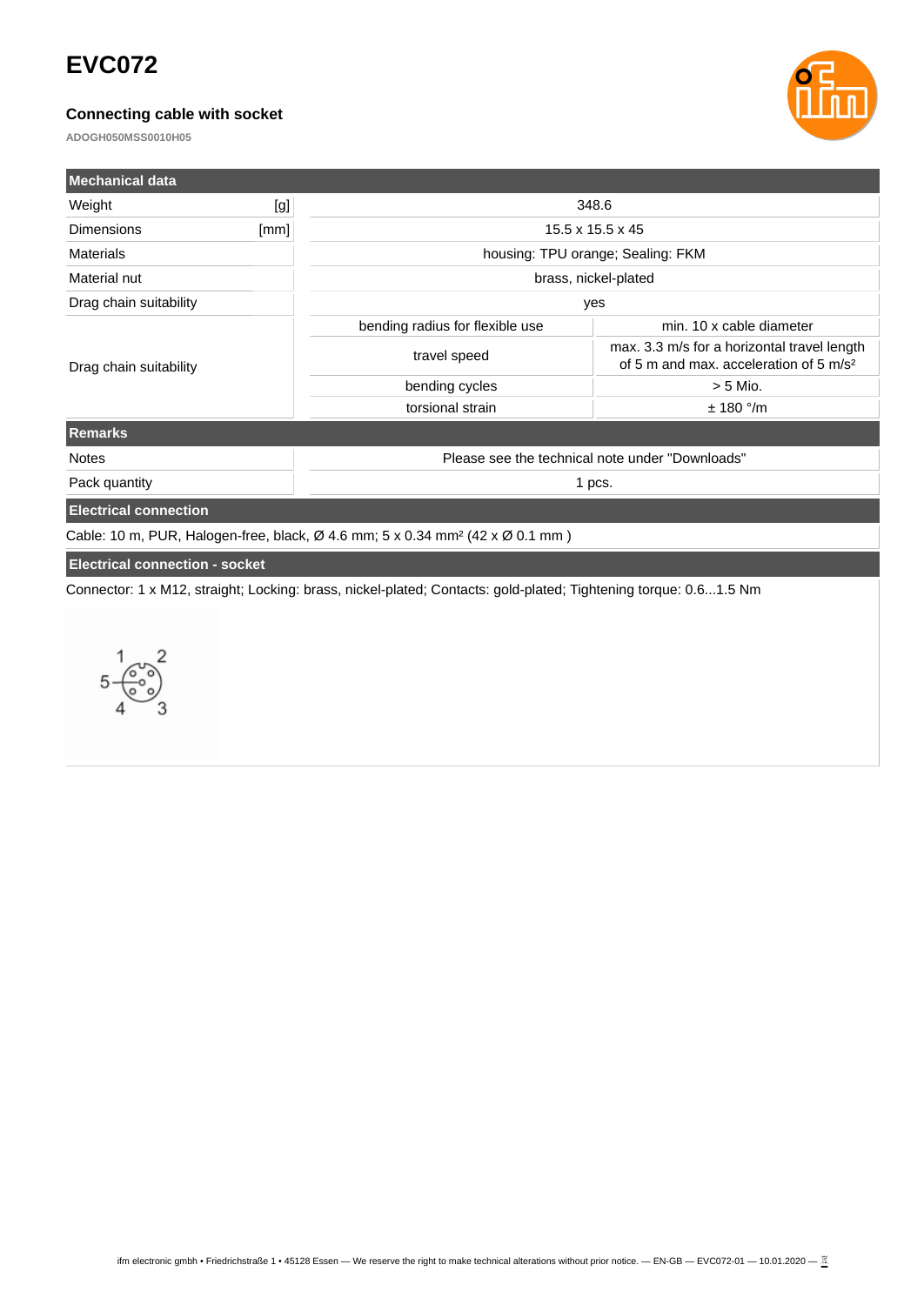# **EVC072**

## **Connecting cable with socket**

**ADOGH050MSS0010H05**



| <b>Mechanical data</b>                |      |                                                                                                                   |                                                                                                   |  |
|---------------------------------------|------|-------------------------------------------------------------------------------------------------------------------|---------------------------------------------------------------------------------------------------|--|
| Weight                                | [g]  | 348.6                                                                                                             |                                                                                                   |  |
| <b>Dimensions</b>                     | [mm] |                                                                                                                   | $15.5 \times 15.5 \times 45$                                                                      |  |
| <b>Materials</b>                      |      | housing: TPU orange; Sealing: FKM                                                                                 |                                                                                                   |  |
| Material nut                          |      | brass, nickel-plated                                                                                              |                                                                                                   |  |
| Drag chain suitability                |      | yes                                                                                                               |                                                                                                   |  |
|                                       |      | bending radius for flexible use                                                                                   | min. 10 x cable diameter                                                                          |  |
| Drag chain suitability                |      | travel speed                                                                                                      | max. 3.3 m/s for a horizontal travel length<br>of 5 m and max, acceleration of 5 m/s <sup>2</sup> |  |
|                                       |      | bending cycles                                                                                                    | $> 5$ Mio.                                                                                        |  |
|                                       |      | torsional strain                                                                                                  | $± 180$ °/m                                                                                       |  |
| <b>Remarks</b>                        |      |                                                                                                                   |                                                                                                   |  |
| <b>Notes</b>                          |      | Please see the technical note under "Downloads"                                                                   |                                                                                                   |  |
| Pack quantity                         |      | 1 pcs.                                                                                                            |                                                                                                   |  |
| <b>Electrical connection</b>          |      |                                                                                                                   |                                                                                                   |  |
|                                       |      | Cable: 10 m, PUR, Halogen-free, black, $\varnothing$ 4.6 mm; 5 x 0.34 mm <sup>2</sup> (42 x $\varnothing$ 0.1 mm) |                                                                                                   |  |
| <b>Electrical connection - socket</b> |      |                                                                                                                   |                                                                                                   |  |

Connector: 1 x M12, straight; Locking: brass, nickel-plated; Contacts: gold-plated; Tightening torque: 0.6...1.5 Nm

 $\overline{2}$  $5 - \frac{6}{6}$